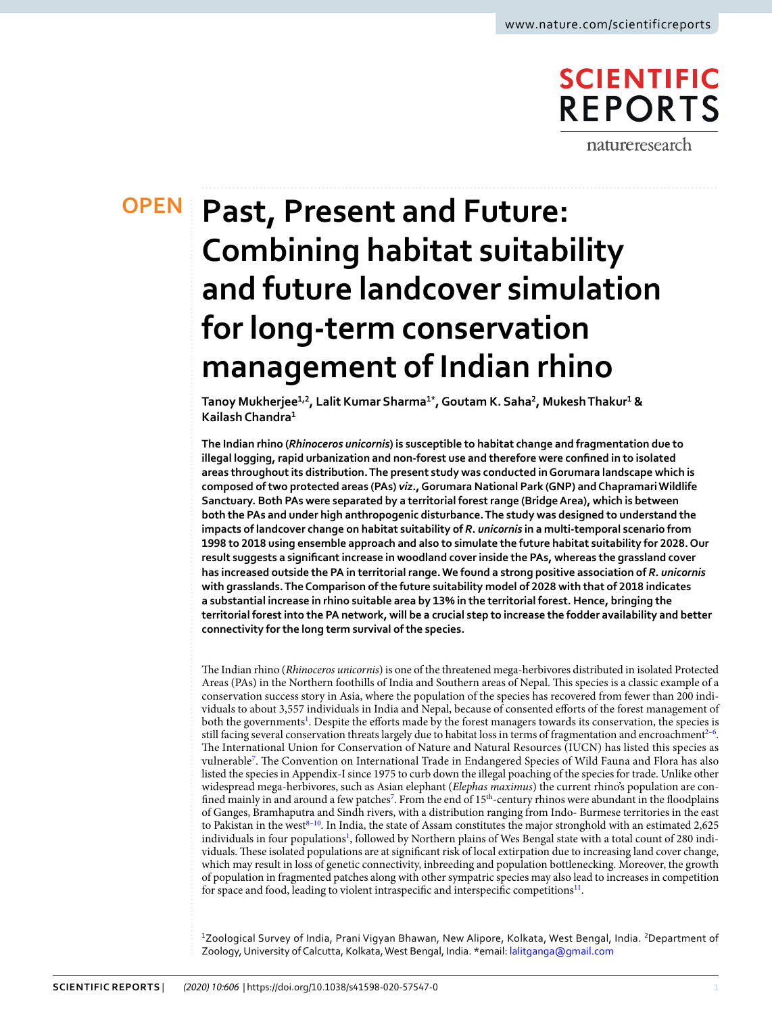# **SCIENTIFIC REPORTS** natureresearch

**OPEN**

# **Past, Present and Future: Combining habitat suitability and future landcover simulation for long-term conservation management of Indian rhino**

**Tanoy Mukherjee1,2, Lalit Kumar Sharma1\*, Goutam K. Saha<sup>2</sup> , Mukesh Thakur<sup>1</sup> & Kailash Chandra<sup>1</sup>**

**The Indian rhino (***Rhinoceros unicornis***) is susceptible to habitat change and fragmentation due to illegal logging, rapid urbanization and non-forest use and therefore were confined in to isolated areas throughout its distribution. The present study was conducted in Gorumara landscape which is composed of two protected areas (PAs)** *viz***., Gorumara National Park (GNP) and Chapramari Wildlife Sanctuary. Both PAs were separated by a territorial forest range (Bridge Area), which is between both the PAs and under high anthropogenic disturbance. The study was designed to understand the impacts of landcover change on habitat suitability of** *R***.** *unicornis* **in a multi-temporal scenario from 1998 to 2018 using ensemble approach and also to simulate the future habitat suitability for 2028. Our result suggests a significant increase in woodland cover inside the PAs, whereas the grassland cover has increased outside the PA in territorial range. We found a strong positive association of** *R***.** *unicornis* **with grasslands. The Comparison of the future suitability model of 2028 with that of 2018 indicates a substantial increase in rhino suitable area by 13% in the territorial forest. Hence, bringing the territorial forest into the PA network, will be a crucial step to increase the fodder availability and better connectivity for the long term survival of the species.**

The Indian rhino (Rhinoceros unicornis) is one of the threatened mega-herbivores distributed in isolated Protected Areas (PAs) in the Northern foothills of India and Southern areas of Nepal. This species is a classic example of a conservation success story in Asia, where the population of the species has recovered from fewer than 200 individuals to about 3,557 individuals in India and Nepal, because of consented efforts of the forest management of both the governments<sup>[1](#page-8-0)</sup>. Despite the efforts made by the forest managers towards its conservation, the species is still facing several conservation threats largely due to habitat loss in terms of fragmentation and encroachment $2^{-6}$  $2^{-6}$  $2^{-6}$ . The International Union for Conservation of Nature and Natural Resources (IUCN) has listed this species as vulnerable[7](#page-8-3) . The Convention on International Trade in Endangered Species of Wild Fauna and Flora has also listed the species in Appendix-I since 1975 to curb down the illegal poaching of the species for trade. Unlike other widespread mega-herbivores, such as Asian elephant (Elephas maximus) the current rhino's population are con-fined mainly in and around a few patches<sup>[7](#page-8-3)</sup>. From the end of 15<sup>th</sup>-century rhinos were abundant in the floodplains of Ganges, Bramhaputra and Sindh rivers, with a distribution ranging from Indo- Burmese territories in the east to Pakistan in the west<sup>8-[10](#page-8-5)</sup>. In India, the state of Assam constitutes the major stronghold with an estimated  $2,625$ individuals in four populations<sup>[1](#page-8-0)</sup>, followed by Northern plains of Wes Bengal state with a total count of 280 individuals. These isolated populations are at significant risk of local extirpation due to increasing land cover change, which may result in loss of genetic connectivity, inbreeding and population bottlenecking. Moreover, the growth of population in fragmented patches along with other sympatric species may also lead to increases in competition for space and food, leading to violent intraspecific and interspecific competitions<sup>[11](#page-8-6)</sup>.

<sup>1</sup>Zoological Survey of India, Prani Vigyan Bhawan, New Alipore, Kolkata, West Bengal, India. <sup>2</sup>Department of Zoology, University of Calcutta, Kolkata, West Bengal, India. \*email: [lalitganga@gmail.com](mailto:lalitganga@gmail.com)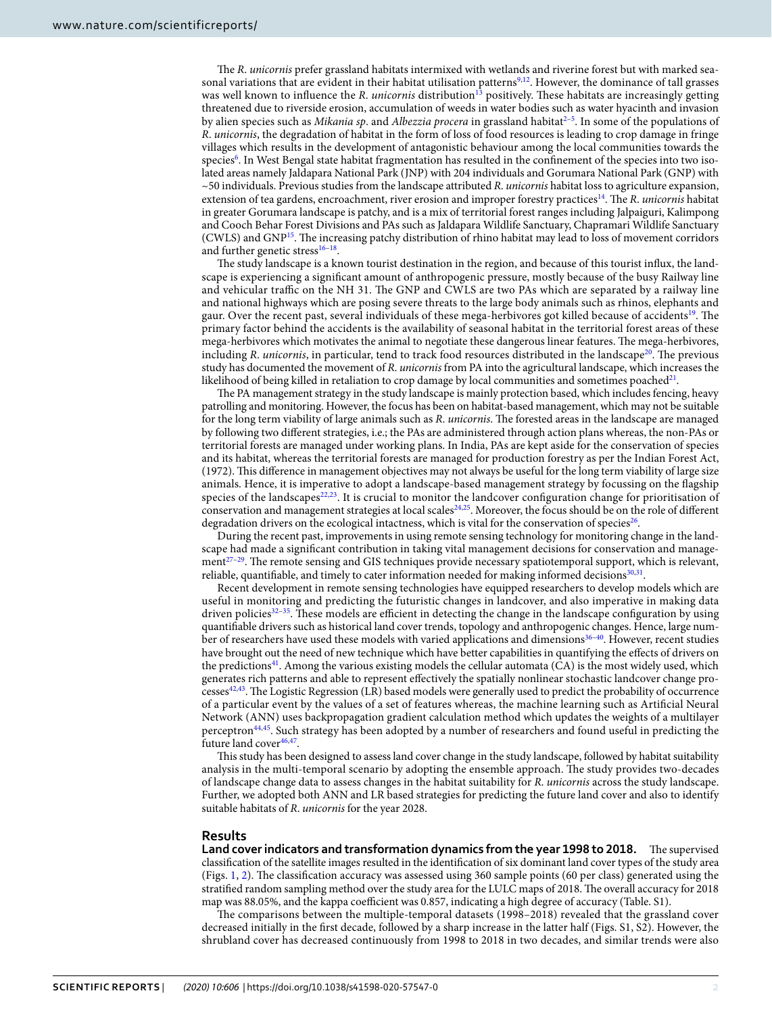The R. unicornis prefer grassland habitats intermixed with wetlands and riverine forest but with marked sea-sonal variations that are evident in their habitat utilisation patterns<sup>[9,](#page-8-7)[12](#page-8-8)</sup>. However, the dominance of tall grasses was well known to influence the R. unicornis distribution<sup>[13](#page-8-9)</sup> positively. These habitats are increasingly getting threatened due to riverside erosion, accumulation of weeds in water bodies such as water hyacinth and invasion by alien species such as Mikania sp. and Albezzia procera in grassland habitat<sup>2-[5](#page-8-10)</sup>. In some of the populations of R. unicornis, the degradation of habitat in the form of loss of food resources is leading to crop damage in fringe villages which results in the development of antagonistic behaviour among the local communities towards the species<sup>[6](#page-8-2)</sup>. In West Bengal state habitat fragmentation has resulted in the confinement of the species into two isolated areas namely Jaldapara National Park (JNP) with 204 individuals and Gorumara National Park (GNP) with  $\sim$ 50 individuals. Previous studies from the landscape attributed R. *unicornis* habitat loss to agriculture expansion, extension of tea gardens, encroachment, river erosion and improper forestry practices<sup>[14](#page-8-11)</sup>. The R. unicornis habitat in greater Gorumara landscape is patchy, and is a mix of territorial forest ranges including Jalpaiguri, Kalimpong and Cooch Behar Forest Divisions and PAs such as Jaldapara Wildlife Sanctuary, Chapramari Wildlife Sanctuary (CWLS) and GNP[15](#page-8-12). The increasing patchy distribution of rhino habitat may lead to loss of movement corridors and further genetic stress<sup>[16](#page-8-13)-18</sup>.

The study landscape is a known tourist destination in the region, and because of this tourist influx, the landscape is experiencing a significant amount of anthropogenic pressure, mostly because of the busy Railway line and vehicular traffic on the NH 31. The GNP and CWLS are two PAs which are separated by a railway line and national highways which are posing severe threats to the large body animals such as rhinos, elephants and gaur. Over the recent past, several individuals of these mega-herbivores got killed because of accidents<sup>[19](#page-8-15)</sup>. The primary factor behind the accidents is the availability of seasonal habitat in the territorial forest areas of these mega-herbivores which motivates the animal to negotiate these dangerous linear features. The mega-herbivores, including R. *unicornis*, in particular, tend to track food resources distributed in the landscape<sup>[20](#page-8-16)</sup>. The previous study has documented the movement of R. unicornis from PA into the agricultural landscape, which increases the likelihood of being killed in retaliation to crop damage by local communities and sometimes poached $^{21}$  $^{21}$  $^{21}$ .

The PA management strategy in the study landscape is mainly protection based, which includes fencing, heavy patrolling and monitoring. However, the focus has been on habitat-based management, which may not be suitable for the long term viability of large animals such as R. unicornis. The forested areas in the landscape are managed by following two different strategies, i.e.; the PAs are administered through action plans whereas, the non-PAs or territorial forests are managed under working plans. In India, PAs are kept aside for the conservation of species and its habitat, whereas the territorial forests are managed for production forestry as per the Indian Forest Act, (1972). This difference in management objectives may not always be useful for the long term viability of large size animals. Hence, it is imperative to adopt a landscape-based management strategy by focussing on the flagship species of the landscapes<sup>[22](#page-8-18)[,23](#page-8-19)</sup>. It is crucial to monitor the landcover configuration change for prioritisation of conservation and management strategies at local scales<sup>[24](#page-8-20)[,25](#page-8-21)</sup>. Moreover, the focus should be on the role of different degradation drivers on the ecological intactness, which is vital for the conservation of species<sup>[26](#page-8-22)</sup>.

During the recent past, improvements in using remote sensing technology for monitoring change in the landscape had made a significant contribution in taking vital management decisions for conservation and management[27](#page-8-23)[–29](#page-8-24). The remote sensing and GIS techniques provide necessary spatiotemporal support, which is relevant, reliable, quantifiable, and timely to cater information needed for making informed decisions<sup>[30](#page-9-0),[31](#page-9-1)</sup>.

Recent development in remote sensing technologies have equipped researchers to develop models which are useful in monitoring and predicting the futuristic changes in landcover, and also imperative in making data driven policies<sup>[32](#page-9-2)[–35](#page-9-3)</sup>. These models are efficient in detecting the change in the landscape configuration by using quantifiable drivers such as historical land cover trends, topology and anthropogenic changes. Hence, large num-ber of researchers have used these models with varied applications and dimensions<sup>36-[40](#page-9-5)</sup>. However, recent studies have brought out the need of new technique which have better capabilities in quantifying the effects of drivers on the predictions<sup>[41](#page-9-6)</sup>. Among the various existing models the cellular automata  $(CA)$  is the most widely used, which generates rich patterns and able to represent effectively the spatially nonlinear stochastic landcover change pro-cesses<sup>[42](#page-9-7),[43](#page-9-8)</sup>. The Logistic Regression (LR) based models were generally used to predict the probability of occurrence of a particular event by the values of a set of features whereas, the machine learning such as Artificial Neural Network (ANN) uses backpropagation gradient calculation method which updates the weights of a multilayer perceptron<sup>[44,](#page-9-9)[45](#page-9-10)</sup>. Such strategy has been adopted by a number of researchers and found useful in predicting the future land cover<sup>[46](#page-9-11)[,47](#page-9-12)</sup>.

This study has been designed to assess land cover change in the study landscape, followed by habitat suitability analysis in the multi-temporal scenario by adopting the ensemble approach. The study provides two-decades of landscape change data to assess changes in the habitat suitability for R. unicornis across the study landscape. Further, we adopted both ANN and LR based strategies for predicting the future land cover and also to identify suitable habitats of R. unicornis for the year 2028.

#### **Results**

**Land cover indicators and transformation dynamics from the year 1998 to 2018.** The supervised classification of the satellite images resulted in the identification of six dominant land cover types of the study area (Figs. [1](#page-2-0), [2\)](#page-2-1). The classification accuracy was assessed using 360 sample points (60 per class) generated using the stratified random sampling method over the study area for the LULC maps of 2018. The overall accuracy for 2018 map was 88.05%, and the kappa coefficient was 0.857, indicating a high degree of accuracy (Table. S1).

The comparisons between the multiple-temporal datasets (1998–2018) revealed that the grassland cover decreased initially in the first decade, followed by a sharp increase in the latter half (Figs. S1, S2). However, the shrubland cover has decreased continuously from 1998 to 2018 in two decades, and similar trends were also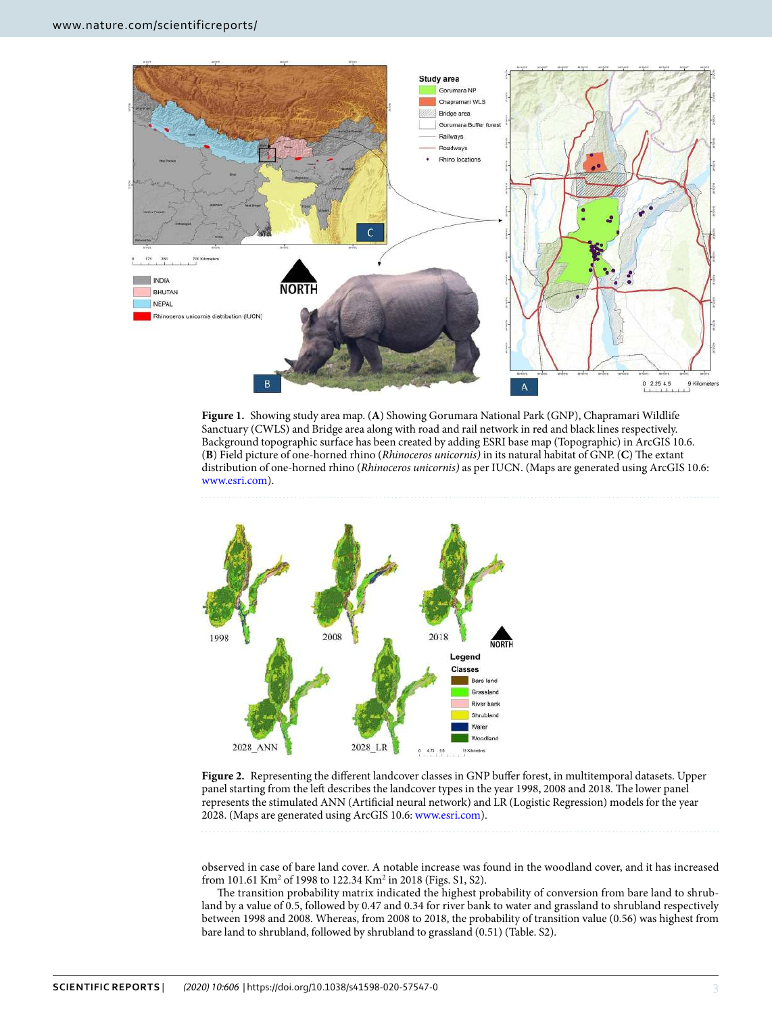

<span id="page-2-0"></span>**Figure 1.** Showing study area map. (**A**) Showing Gorumara National Park (GNP), Chapramari Wildlife Sanctuary (CWLS) and Bridge area along with road and rail network in red and black lines respectively. Background topographic surface has been created by adding ESRI base map (Topographic) in ArcGIS 10.6. (**B**) Field picture of one-horned rhino (Rhinoceros unicornis) in its natural habitat of GNP. (**C**) The extant distribution of one-horned rhino (Rhinoceros unicornis) as per IUCN. (Maps are generated using ArcGIS 10.6: [www.esri.com](http://www.esri.com)).



<span id="page-2-1"></span>**Figure 2.** Representing the different landcover classes in GNP buffer forest, in multitemporal datasets. Upper panel starting from the left describes the landcover types in the year 1998, 2008 and 2018. The lower panel represents the stimulated ANN (Artificial neural network) and LR (Logistic Regression) models for the year 2028. (Maps are generated using ArcGIS 10.6: [www.esri.com\)](http://www.esri.com).

observed in case of bare land cover. A notable increase was found in the woodland cover, and it has increased from 101.61 Km<sup>2</sup> of 1998 to 122.34 Km<sup>2</sup> in 2018 (Figs. S1, S2).

The transition probability matrix indicated the highest probability of conversion from bare land to shrubland by a value of 0.5, followed by 0.47 and 0.34 for river bank to water and grassland to shrubland respectively between 1998 and 2008. Whereas, from 2008 to 2018, the probability of transition value (0.56) was highest from bare land to shrubland, followed by shrubland to grassland (0.51) (Table. S2).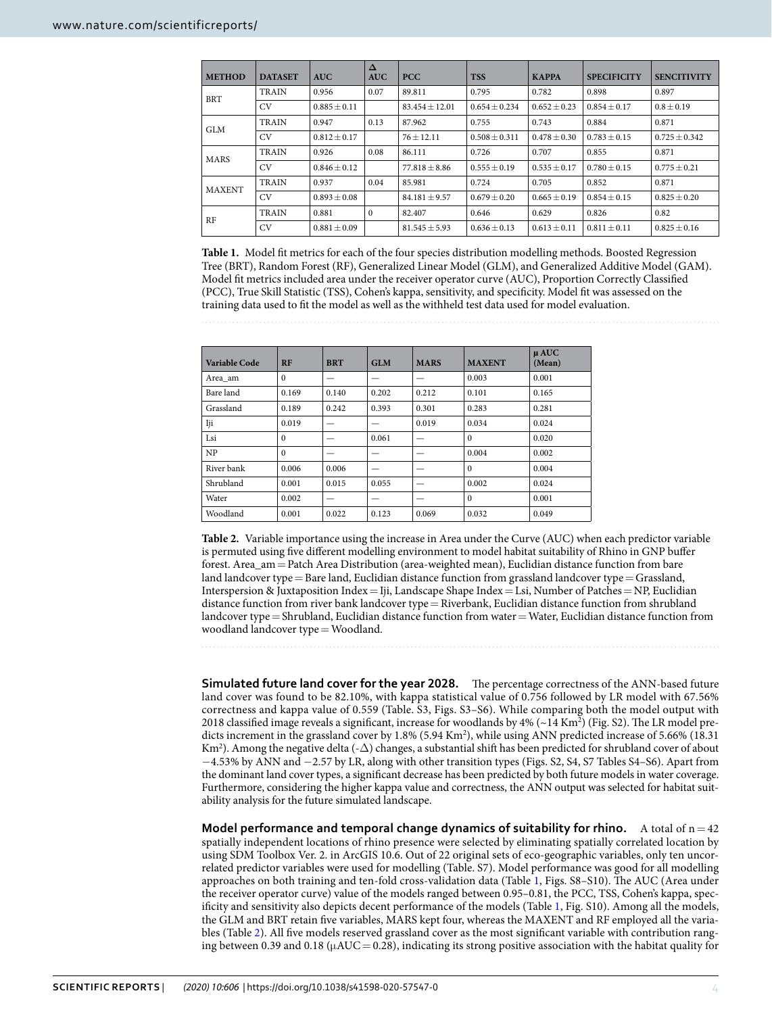<span id="page-3-0"></span>

| <b>METHOD</b> | <b>DATASET</b> | <b>AUC</b>       | $\Delta$<br><b>AUC</b> | <b>PCC</b>         | <b>TSS</b>        | <b>KAPPA</b>     | <b>SPECIFICITY</b> | <b>SENCITIVITY</b> |
|---------------|----------------|------------------|------------------------|--------------------|-------------------|------------------|--------------------|--------------------|
| <b>BRT</b>    | <b>TRAIN</b>   | 0.956            | 0.07                   | 89.811             | 0.795             | 0.782            | 0.898              | 0.897              |
|               | CV.            | $0.885 \pm 0.11$ |                        | $83.454 \pm 12.01$ | $0.654 \pm 0.234$ | $0.652 \pm 0.23$ | $0.854 \pm 0.17$   | $0.8 \pm 0.19$     |
| <b>GLM</b>    | <b>TRAIN</b>   | 0.947            | 0.13                   | 87.962             | 0.755             | 0.743            | 0.884              | 0.871              |
|               | <b>CV</b>      | $0.812 \pm 0.17$ |                        | $76 + 12.11$       | $0.508 \pm 0.311$ | $0.478 \pm 0.30$ | $0.783 \pm 0.15$   | $0.725 \pm 0.342$  |
| <b>MARS</b>   | <b>TRAIN</b>   | 0.926            | 0.08                   | 86.111             | 0.726             | 0.707            | 0.855              | 0.871              |
|               | CV.            | $0.846 + 0.12$   |                        | $77.818 + 8.86$    | $0.555 + 0.19$    | $0.535 + 0.17$   | $0.780 + 0.15$     | $0.775 \pm 0.21$   |
| <b>MAXENT</b> | <b>TRAIN</b>   | 0.937            | 0.04                   | 85.981             | 0.724             | 0.705            | 0.852              | 0.871              |
|               | CV.            | $0.893 + 0.08$   |                        | $84.181 \pm 9.57$  | $0.679 + 0.20$    | $0.665 \pm 0.19$ | $0.854 \pm 0.15$   | $0.825 \pm 0.20$   |
| RF            | <b>TRAIN</b>   | 0.881            | $\mathbf{0}$           | 82.407             | 0.646             | 0.629            | 0.826              | 0.82               |
|               | <b>CV</b>      | $0.881 \pm 0.09$ |                        | $81.545 \pm 5.93$  | $0.636 \pm 0.13$  | $0.613 \pm 0.11$ | $0.811 \pm 0.11$   | $0.825 \pm 0.16$   |

**Table 1.** Model fit metrics for each of the four species distribution modelling methods. Boosted Regression Tree (BRT), Random Forest (RF), Generalized Linear Model (GLM), and Generalized Additive Model (GAM). Model fit metrics included area under the receiver operator curve (AUC), Proportion Correctly Classified (PCC), True Skill Statistic (TSS), Cohen's kappa, sensitivity, and specificity. Model fit was assessed on the training data used to fit the model as well as the withheld test data used for model evaluation.

<span id="page-3-1"></span>

| Variable Code | RF       | <b>BRT</b> | GLM   | <b>MARS</b> | <b>MAXENT</b> | $\mu$ AUC<br>(Mean) |
|---------------|----------|------------|-------|-------------|---------------|---------------------|
| Area am       | $\Omega$ | _          | —     | _           | 0.003         | 0.001               |
| Bare land     | 0.169    | 0.140      | 0.202 | 0.212       | 0.101         | 0.165               |
| Grassland     | 0.189    | 0.242      | 0.393 | 0.301       | 0.283         | 0.281               |
| Iji           | 0.019    |            | _     | 0.019       | 0.034         | 0.024               |
| Lsi           | $\Omega$ |            | 0.061 |             | $\Omega$      | 0.020               |
| NP            | $\Omega$ | —          | -     |             | 0.004         | 0.002               |
| River bank    | 0.006    | 0.006      | _     |             | $\Omega$      | 0.004               |
| Shrubland     | 0.001    | 0.015      | 0.055 |             | 0.002         | 0.024               |
| Water         | 0.002    |            |       |             | $\mathbf{0}$  | 0.001               |
| Woodland      | 0.001    | 0.022      | 0.123 | 0.069       | 0.032         | 0.049               |

**Table 2.** Variable importance using the increase in Area under the Curve (AUC) when each predictor variable is permuted using five different modelling environment to model habitat suitability of Rhino in GNP buffer forest. Area\_am = Patch Area Distribution (area-weighted mean), Euclidian distance function from bare land landcover type = Bare land, Euclidian distance function from grassland landcover type = Grassland, Interspersion & Juxtaposition Index = Iji, Landscape Shape Index = Lsi, Number of Patches = NP, Euclidian distance function from river bank landcover type = Riverbank, Euclidian distance function from shrubland landcover type = Shrubland, Euclidian distance function from water = Water, Euclidian distance function from woodland landcover type = Woodland.

**Simulated future land cover for the year 2028.** The percentage correctness of the ANN-based future land cover was found to be 82.10%, with kappa statistical value of 0.756 followed by LR model with 67.56% correctness and kappa value of 0.559 (Table. S3, Figs. S3–S6). While comparing both the model output with 2018 classified image reveals a significant, increase for woodlands by  $4\%$  ( $\sim$ 14 Km<sup>2</sup>) (Fig. S2). The LR model predicts increment in the grassland cover by 1.8% (5.94 Km<sup>2</sup>), while using ANN predicted increase of 5.66% (18.31 Km<sup>2</sup>). Among the negative delta (- $\Delta$ ) changes, a substantial shift has been predicted for shrubland cover of about −4.53% by ANN and −2.57 by LR, along with other transition types (Figs. S2, S4, S7 Tables S4–S6). Apart from the dominant land cover types, a significant decrease has been predicted by both future models in water coverage. Furthermore, considering the higher kappa value and correctness, the ANN output was selected for habitat suitability analysis for the future simulated landscape.

**Model performance and temporal change dynamics of suitability for rhino.** A total of  $n = 42$ spatially independent locations of rhino presence were selected by eliminating spatially correlated location by using SDM Toolbox Ver. 2. in ArcGIS 10.6. Out of 22 original sets of eco-geographic variables, only ten uncorrelated predictor variables were used for modelling (Table. S7). Model performance was good for all modelling approaches on both training and ten-fold cross-validation data (Table [1](#page-3-0), Figs. S8–S10). The AUC (Area under the receiver operator curve) value of the models ranged between 0.95–0.81, the PCC, TSS, Cohen's kappa, specificity and sensitivity also depicts decent performance of the models (Table [1](#page-3-0), Fig. S10). Among all the models, the GLM and BRT retain five variables, MARS kept four, whereas the MAXENT and RF employed all the variables (Table [2\)](#page-3-1). All five models reserved grassland cover as the most significant variable with contribution ranging between 0.39 and 0.18 ( $\mu AUC = 0.28$ ), indicating its strong positive association with the habitat quality for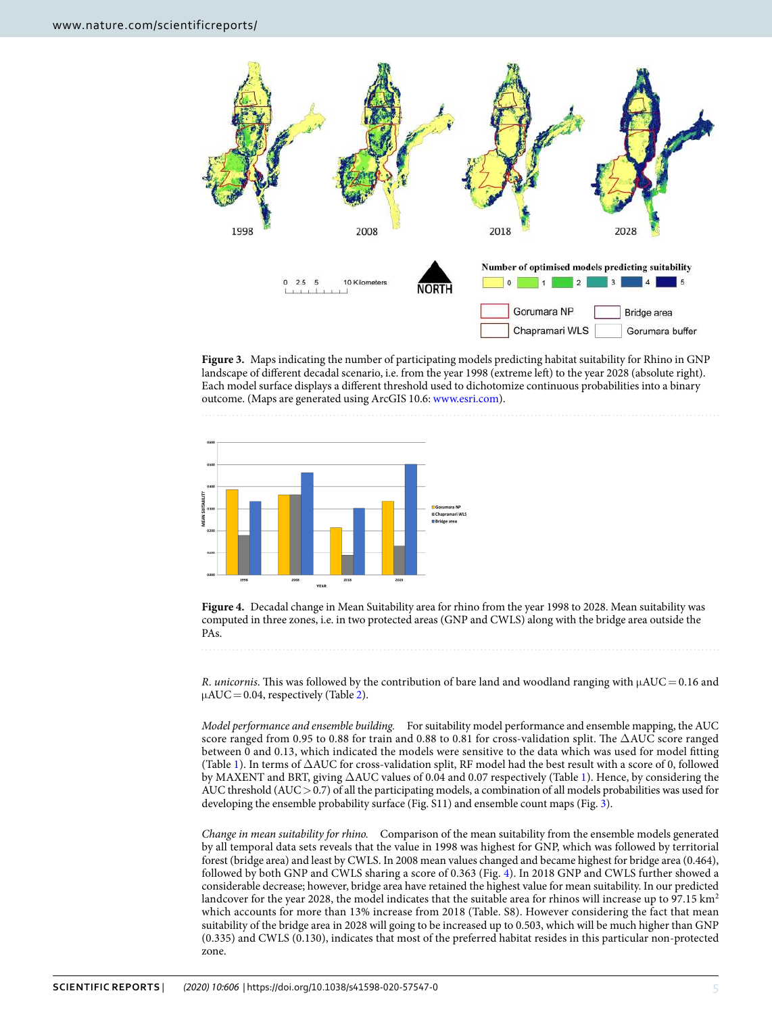

<span id="page-4-0"></span>**Figure 3.** Maps indicating the number of participating models predicting habitat suitability for Rhino in GNP landscape of different decadal scenario, i.e. from the year 1998 (extreme left) to the year 2028 (absolute right). Each model surface displays a different threshold used to dichotomize continuous probabilities into a binary outcome. (Maps are generated using ArcGIS 10.6: [www.esri.com\)](http://www.esri.com).





<span id="page-4-1"></span>**Figure 4.** Decadal change in Mean Suitability area for rhino from the year 1998 to 2028. Mean suitability was computed in three zones, i.e. in two protected areas (GNP and CWLS) along with the bridge area outside the PAs.

R. unicornis. This was followed by the contribution of bare land and woodland ranging with  $\mu AUC = 0.16$  and  $\mu AUC = 0.04$ , respectively (Table [2](#page-3-1)).

Model performance and ensemble building. For suitability model performance and ensemble mapping, the AUC score ranged from 0.95 to 0.88 for train and 0.88 to 0.81 for cross-validation split. The ∆AUC score ranged between 0 and 0.13, which indicated the models were sensitive to the data which was used for model fitting (Table [1\)](#page-3-0). In terms of ∆AUC for cross-validation split, RF model had the best result with a score of 0, followed by MAXENT and BRT, giving ∆AUC values of 0.04 and 0.07 respectively (Table [1\)](#page-3-0). Hence, by considering the AUC threshold (AUC > 0.7) of all the participating models, a combination of all models probabilities was used for developing the ensemble probability surface (Fig. S11) and ensemble count maps (Fig. [3\)](#page-4-0).

Change in mean suitability for rhino. Comparison of the mean suitability from the ensemble models generated by all temporal data sets reveals that the value in 1998 was highest for GNP, which was followed by territorial forest (bridge area) and least by CWLS. In 2008 mean values changed and became highest for bridge area (0.464), followed by both GNP and CWLS sharing a score of 0.363 (Fig. [4\)](#page-4-1). In 2018 GNP and CWLS further showed a considerable decrease; however, bridge area have retained the highest value for mean suitability. In our predicted landcover for the year 2028, the model indicates that the suitable area for rhinos will increase up to 97.15 km<sup>2</sup> which accounts for more than 13% increase from 2018 (Table. S8). However considering the fact that mean suitability of the bridge area in 2028 will going to be increased up to 0.503, which will be much higher than GNP (0.335) and CWLS (0.130), indicates that most of the preferred habitat resides in this particular non-protected zone.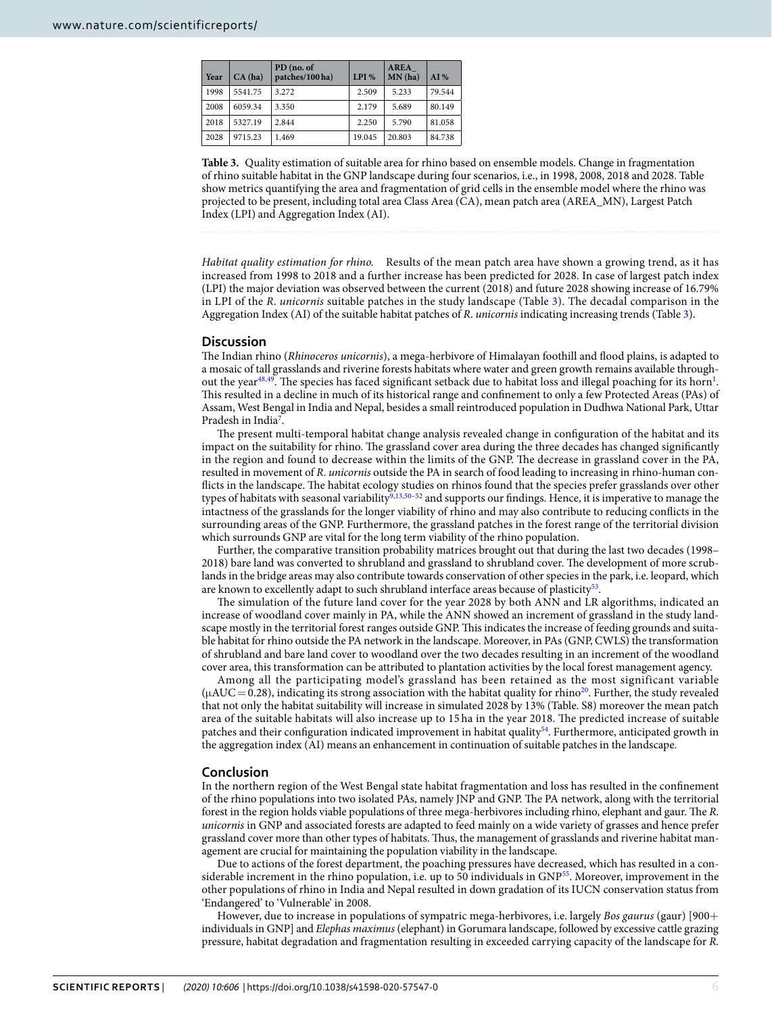<span id="page-5-0"></span>

| Year | CA(ha)  | PD (no. of<br>patches/100 ha) | LPI %  | <b>AREA</b><br>MN(ha) | AI%    |
|------|---------|-------------------------------|--------|-----------------------|--------|
| 1998 | 5541.75 | 3.272                         | 2.509  | 5.233                 | 79.544 |
| 2008 | 6059.34 | 3.350                         | 2.179  | 5.689                 | 80.149 |
| 2018 | 5327.19 | 2.844                         | 2.250  | 5.790                 | 81.058 |
| 2028 | 9715.23 | 1.469                         | 19.045 | 20.803                | 84.738 |

**Table 3.** Quality estimation of suitable area for rhino based on ensemble models. Change in fragmentation of rhino suitable habitat in the GNP landscape during four scenarios, i.e., in 1998, 2008, 2018 and 2028. Table show metrics quantifying the area and fragmentation of grid cells in the ensemble model where the rhino was projected to be present, including total area Class Area (CA), mean patch area (AREA\_MN), Largest Patch Index (LPI) and Aggregation Index (AI).

Habitat quality estimation for rhino. Results of the mean patch area have shown a growing trend, as it has increased from 1998 to 2018 and a further increase has been predicted for 2028. In case of largest patch index (LPI) the major deviation was observed between the current (2018) and future 2028 showing increase of 16.79% in LPI of the R. unicornis suitable patches in the study landscape (Table [3](#page-5-0)). The decadal comparison in the Aggregation Index (AI) of the suitable habitat patches of R. unicornis indicating increasing trends (Table [3](#page-5-0)).

# **Discussion**

The Indian rhino (Rhinoceros unicornis), a mega-herbivore of Himalayan foothill and flood plains, is adapted to a mosaic of tall grasslands and riverine forests habitats where water and green growth remains available through-out the year<sup>[48,](#page-9-13)[49](#page-9-14)</sup>. The species has faced significant setback due to habitat loss and illegal poaching for its horn<sup>[1](#page-8-0)</sup>. This resulted in a decline in much of its historical range and confinement to only a few Protected Areas (PAs) of Assam, West Bengal in India and Nepal, besides a small reintroduced population in Dudhwa National Park, Uttar Pradesh in India<sup>[7](#page-8-3)</sup>.

The present multi-temporal habitat change analysis revealed change in configuration of the habitat and its impact on the suitability for rhino. The grassland cover area during the three decades has changed significantly in the region and found to decrease within the limits of the GNP. The decrease in grassland cover in the PA, resulted in movement of R. unicornis outside the PA in search of food leading to increasing in rhino-human conflicts in the landscape. The habitat ecology studies on rhinos found that the species prefer grasslands over other types of habitats with seasonal variability<sup>[9,](#page-8-7)[13](#page-8-9),[50](#page-9-15)[–52](#page-9-16)</sup> and supports our findings. Hence, it is imperative to manage the intactness of the grasslands for the longer viability of rhino and may also contribute to reducing conflicts in the surrounding areas of the GNP. Furthermore, the grassland patches in the forest range of the territorial division which surrounds GNP are vital for the long term viability of the rhino population.

Further, the comparative transition probability matrices brought out that during the last two decades (1998– 2018) bare land was converted to shrubland and grassland to shrubland cover. The development of more scrublands in the bridge areas may also contribute towards conservation of other species in the park, i.e. leopard, which are known to excellently adapt to such shrubland interface areas because of plasticity<sup>[53](#page-9-17)</sup>.

The simulation of the future land cover for the year 2028 by both ANN and LR algorithms, indicated an increase of woodland cover mainly in PA, while the ANN showed an increment of grassland in the study landscape mostly in the territorial forest ranges outside GNP. This indicates the increase of feeding grounds and suitable habitat for rhino outside the PA network in the landscape. Moreover, in PAs (GNP, CWLS) the transformation of shrubland and bare land cover to woodland over the two decades resulting in an increment of the woodland cover area, this transformation can be attributed to plantation activities by the local forest management agency.

Among all the participating model's grassland has been retained as the most significant variable  $(\mu AUC = 0.28)$ , indicating its strong association with the habitat quality for rhino<sup>[20](#page-8-16)</sup>. Further, the study revealed that not only the habitat suitability will increase in simulated 2028 by 13% (Table. S8) moreover the mean patch area of the suitable habitats will also increase up to 15 ha in the year 2018. The predicted increase of suitable patches and their configuration indicated improvement in habitat quality[54](#page-9-18). Furthermore, anticipated growth in the aggregation index (AI) means an enhancement in continuation of suitable patches in the landscape.

# **Conclusion**

In the northern region of the West Bengal state habitat fragmentation and loss has resulted in the confinement of the rhino populations into two isolated PAs, namely JNP and GNP. The PA network, along with the territorial forest in the region holds viable populations of three mega-herbivores including rhino, elephant and gaur. The R. unicornis in GNP and associated forests are adapted to feed mainly on a wide variety of grasses and hence prefer grassland cover more than other types of habitats. Thus, the management of grasslands and riverine habitat management are crucial for maintaining the population viability in the landscape.

Due to actions of the forest department, the poaching pressures have decreased, which has resulted in a considerable increment in the rhino population, i.e. up to 50 individuals in GNP[55](#page-9-19). Moreover, improvement in the other populations of rhino in India and Nepal resulted in down gradation of its IUCN conservation status from 'Endangered' to 'Vulnerable' in 2008.

However, due to increase in populations of sympatric mega-herbivores, i.e. largely Bos gaurus (gaur) [900+ individuals in GNP] and Elephas maximus (elephant) in Gorumara landscape, followed by excessive cattle grazing pressure, habitat degradation and fragmentation resulting in exceeded carrying capacity of the landscape for R.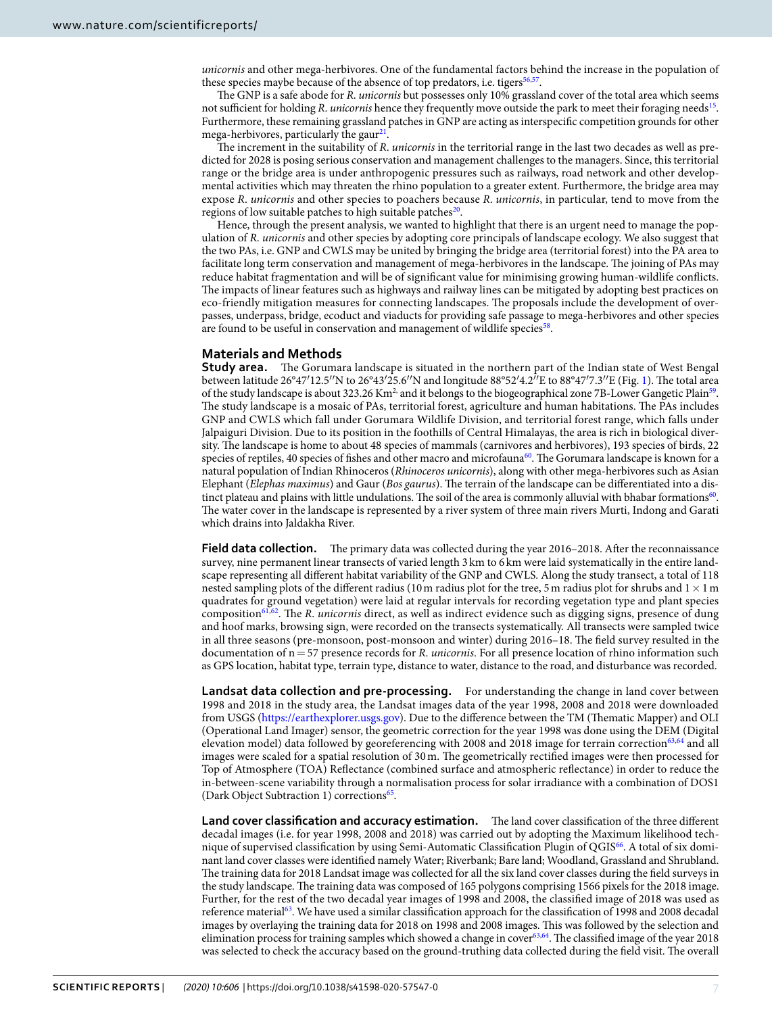unicornis and other mega-herbivores. One of the fundamental factors behind the increase in the population of these species maybe because of the absence of top predators, i.e. tigers<sup>[56](#page-9-20)[,57](#page-9-21)</sup>.

The GNP is a safe abode for R. unicornis but possesses only 10% grassland cover of the total area which seems not sufficient for holding R. unicornis hence they frequently move outside the park to meet their foraging needs<sup>[15](#page-8-12)</sup>. Furthermore, these remaining grassland patches in GNP are acting as interspecific competition grounds for other mega-herbivores, particularly the gaur<sup>[21](#page-8-17)</sup>.

The increment in the suitability of R. *unicornis* in the territorial range in the last two decades as well as predicted for 2028 is posing serious conservation and management challenges to the managers. Since, this territorial range or the bridge area is under anthropogenic pressures such as railways, road network and other developmental activities which may threaten the rhino population to a greater extent. Furthermore, the bridge area may expose R. unicornis and other species to poachers because R. unicornis, in particular, tend to move from the regions of low suitable patches to high suitable patches<sup>[20](#page-8-16)</sup>.

Hence, through the present analysis, we wanted to highlight that there is an urgent need to manage the population of R. unicornis and other species by adopting core principals of landscape ecology. We also suggest that the two PAs, i.e. GNP and CWLS may be united by bringing the bridge area (territorial forest) into the PA area to facilitate long term conservation and management of mega-herbivores in the landscape. The joining of PAs may reduce habitat fragmentation and will be of significant value for minimising growing human-wildlife conflicts. The impacts of linear features such as highways and railway lines can be mitigated by adopting best practices on eco-friendly mitigation measures for connecting landscapes. The proposals include the development of overpasses, underpass, bridge, ecoduct and viaducts for providing safe passage to mega-herbivores and other species are found to be useful in conservation and management of wildlife species<sup>[58](#page-9-22)</sup>.

# **Materials and Methods**

**Study area.** The Gorumara landscape is situated in the northern part of the Indian state of West Bengal between latitude 26°47′12.5′′N to 26°43′25.6′′N and longitude 88°52′4.2′′E to 88°47′7.3′′E (Fig. [1](#page-2-0)). The total area of the study landscape is about 323.26 Km<sup>2,</sup> and it belongs to the biogeographical zone 7B-Lower Gangetic Plain<sup>[59](#page-9-23)</sup>. The study landscape is a mosaic of PAs, territorial forest, agriculture and human habitations. The PAs includes GNP and CWLS which fall under Gorumara Wildlife Division, and territorial forest range, which falls under Jalpaiguri Division. Due to its position in the foothills of Central Himalayas, the area is rich in biological diversity. The landscape is home to about 48 species of mammals (carnivores and herbivores), 193 species of birds, 22 species of reptiles, 40 species of fishes and other macro and microfauna<sup>[60](#page-9-24)</sup>. The Gorumara landscape is known for a natural population of Indian Rhinoceros (Rhinoceros unicornis), along with other mega-herbivores such as Asian Elephant (Elephas maximus) and Gaur (Bos gaurus). The terrain of the landscape can be differentiated into a dis-tinct plateau and plains with little undulations. The soil of the area is commonly alluvial with bhabar formations<sup>[60](#page-9-24)</sup>. The water cover in the landscape is represented by a river system of three main rivers Murti, Indong and Garati which drains into Jaldakha River.

**Field data collection.** The primary data was collected during the year 2016–2018. After the reconnaissance survey, nine permanent linear transects of varied length 3 km to 6 km were laid systematically in the entire landscape representing all different habitat variability of the GNP and CWLS. Along the study transect, a total of 118 nested sampling plots of the different radius (10 m radius plot for the tree, 5 m radius plot for shrubs and  $1 \times 1$  m quadrates for ground vegetation) were laid at regular intervals for recording vegetation type and plant species composition<sup>[61,](#page-9-25)[62](#page-9-26)</sup>. The R. unicornis direct, as well as indirect evidence such as digging signs, presence of dung and hoof marks, browsing sign, were recorded on the transects systematically. All transects were sampled twice in all three seasons (pre-monsoon, post-monsoon and winter) during 2016–18. The field survey resulted in the documentation of  $n = 57$  presence records for R. *unicornis*. For all presence location of rhino information such as GPS location, habitat type, terrain type, distance to water, distance to the road, and disturbance was recorded.

**Landsat data collection and pre-processing.** For understanding the change in land cover between 1998 and 2018 in the study area, the Landsat images data of the year 1998, 2008 and 2018 were downloaded from USGS (<https://earthexplorer.usgs.gov>). Due to the difference between the TM (Thematic Mapper) and OLI (Operational Land Imager) sensor, the geometric correction for the year 1998 was done using the DEM (Digital elevation model) data followed by georeferencing with 2008 and 2018 image for terrain correction<sup>[63,](#page-9-27)[64](#page-9-28)</sup> and all images were scaled for a spatial resolution of 30 m. The geometrically rectified images were then processed for Top of Atmosphere (TOA) Reflectance (combined surface and atmospheric reflectance) in order to reduce the in-between-scene variability through a normalisation process for solar irradiance with a combination of DOS1 (Dark Object Subtraction 1) corrections<sup>[65](#page-9-29)</sup>.

**Land cover classification and accuracy estimation.** The land cover classification of the three different decadal images (i.e. for year 1998, 2008 and 2018) was carried out by adopting the Maximum likelihood technique of supervised classification by using Semi-Automatic Classification Plugin of QGIS[66](#page-9-30). A total of six dominant land cover classes were identified namely Water; Riverbank; Bare land; Woodland, Grassland and Shrubland. The training data for 2018 Landsat image was collected for all the six land cover classes during the field surveys in the study landscape. The training data was composed of 165 polygons comprising 1566 pixels for the 2018 image. Further, for the rest of the two decadal year images of 1998 and 2008, the classified image of 2018 was used as reference material[63](#page-9-27). We have used a similar classification approach for the classification of 1998 and 2008 decadal images by overlaying the training data for 2018 on 1998 and 2008 images. This was followed by the selection and elimination process for training samples which showed a change in cover[63,](#page-9-27)[64](#page-9-28). The classified image of the year 2018 was selected to check the accuracy based on the ground-truthing data collected during the field visit. The overall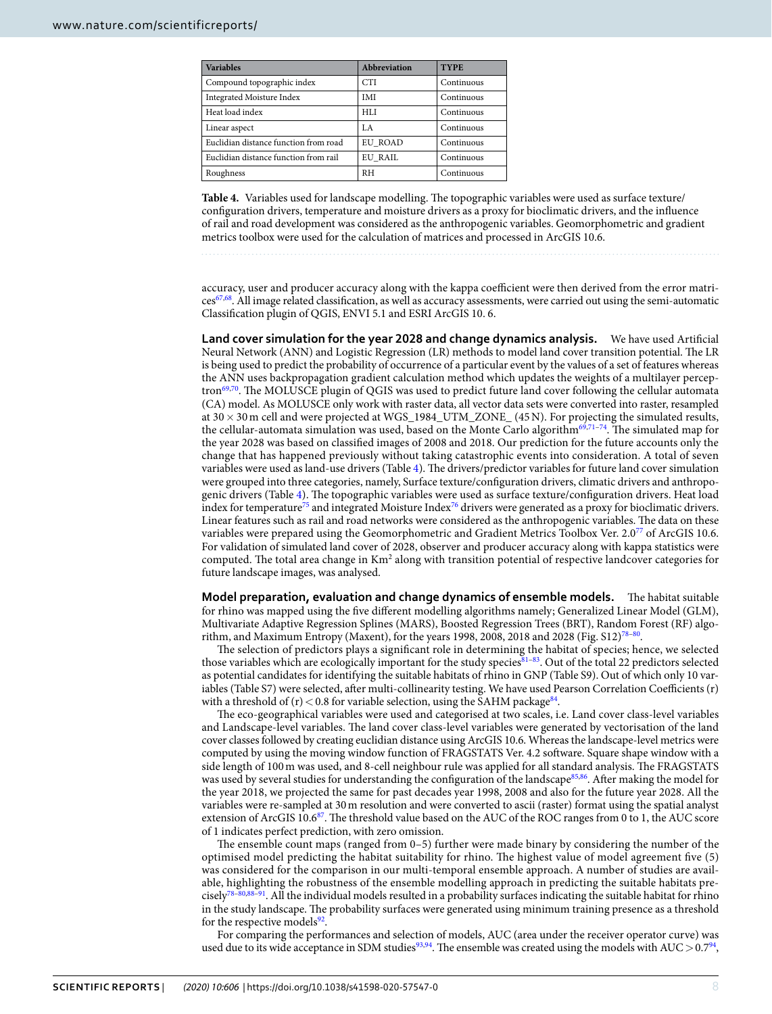<span id="page-7-0"></span>

| <b>Variables</b>                      | <b>Abbreviation</b> | <b>TYPE</b> |
|---------------------------------------|---------------------|-------------|
| Compound topographic index            | <b>CTI</b>          | Continuous  |
| Integrated Moisture Index             | <b>IMI</b>          | Continuous  |
| Heat load index                       | <b>HLI</b>          | Continuous  |
| Linear aspect                         | LA                  | Continuous  |
| Euclidian distance function from road | EU ROAD             | Continuous  |
| Euclidian distance function from rail | EU RAIL             | Continuous  |
| Roughness                             | <b>RH</b>           | Continuous  |

**Table 4.** Variables used for landscape modelling. The topographic variables were used as surface texture/ configuration drivers, temperature and moisture drivers as a proxy for bioclimatic drivers, and the influence of rail and road development was considered as the anthropogenic variables. Geomorphometric and gradient metrics toolbox were used for the calculation of matrices and processed in ArcGIS 10.6.

accuracy, user and producer accuracy along with the kappa coefficient were then derived from the error matrices[67](#page-9-31)[,68](#page-9-32). All image related classification, as well as accuracy assessments, were carried out using the semi-automatic Classification plugin of QGIS, ENVI 5.1 and ESRI ArcGIS 10. 6.

**Land cover simulation for the year 2028 and change dynamics analysis.** We have used Artificial Neural Network (ANN) and Logistic Regression (LR) methods to model land cover transition potential. The LR is being used to predict the probability of occurrence of a particular event by the values of a set of features whereas the ANN uses backpropagation gradient calculation method which updates the weights of a multilayer percep-tron<sup>[69](#page-9-33)[,70](#page-9-34)</sup>. The MOLUSCE plugin of QGIS was used to predict future land cover following the cellular automata (CA) model. As MOLUSCE only work with raster data, all vector data sets were converted into raster, resampled at 30 × 30 m cell and were projected at WGS\_1984\_UTM\_ZONE\_ (45 N). For projecting the simulated results, the cellular-automata simulation was used, based on the Monte Carlo algorithm<sup>[69](#page-9-33),[71](#page-10-0)–[74](#page-10-1)</sup>. The simulated map for the year 2028 was based on classified images of 2008 and 2018. Our prediction for the future accounts only the change that has happened previously without taking catastrophic events into consideration. A total of seven variables were used as land-use drivers (Table [4](#page-7-0)). The drivers/predictor variables for future land cover simulation were grouped into three categories, namely, Surface texture/configuration drivers, climatic drivers and anthropogenic drivers (Table [4](#page-7-0)). The topographic variables were used as surface texture/configuration drivers. Heat load index for temperature[75](#page-10-2) and integrated Moisture Index[76](#page-10-3) drivers were generated as a proxy for bioclimatic drivers. Linear features such as rail and road networks were considered as the anthropogenic variables. The data on these variables were prepared using the Geomorphometric and Gradient Metrics Toolbox Ver. 2.0[77](#page-10-4) of ArcGIS 10.6. For validation of simulated land cover of 2028, observer and producer accuracy along with kappa statistics were computed. The total area change in Km<sup>2</sup> along with transition potential of respective landcover categories for future landscape images, was analysed.

**Model preparation, evaluation and change dynamics of ensemble models.** The habitat suitable for rhino was mapped using the five different modelling algorithms namely; Generalized Linear Model (GLM), Multivariate Adaptive Regression Splines (MARS), Boosted Regression Trees (BRT), Random Forest (RF) algo-rithm, and Maximum Entropy (Maxent), for the years 1998, 2008, 2018 and 2028 (Fig. S12)<sup>[78](#page-10-5)-80</sup>.

The selection of predictors plays a significant role in determining the habitat of species; hence, we selected those variables which are ecologically important for the study species81-[83](#page-10-8). Out of the total 22 predictors selected as potential candidates for identifying the suitable habitats of rhino in GNP (Table S9). Out of which only 10 variables (Table S7) were selected, after multi-collinearity testing. We have used Pearson Correlation Coefficients (r) with a threshold of (r) < 0.8 for variable selection, using the SAHM package<sup>[84](#page-10-9)</sup>.

The eco-geographical variables were used and categorised at two scales, i.e. Land cover class-level variables and Landscape-level variables. The land cover class-level variables were generated by vectorisation of the land cover classes followed by creating euclidian distance using ArcGIS 10.6. Whereas the landscape-level metrics were computed by using the moving window function of FRAGSTATS Ver. 4.2 software. Square shape window with a side length of 100 m was used, and 8-cell neighbour rule was applied for all standard analysis. The FRAGSTATS was used by several studies for understanding the configuration of the landscape<sup>[85](#page-10-10),[86](#page-10-11)</sup>. After making the model for the year 2018, we projected the same for past decades year 1998, 2008 and also for the future year 2028. All the variables were re-sampled at 30 m resolution and were converted to ascii (raster) format using the spatial analyst extension of ArcGIS 10.6<sup>[87](#page-10-12)</sup>. The threshold value based on the AUC of the ROC ranges from 0 to 1, the AUC score of 1 indicates perfect prediction, with zero omission.

The ensemble count maps (ranged from 0–5) further were made binary by considering the number of the optimised model predicting the habitat suitability for rhino. The highest value of model agreement five (5) was considered for the comparison in our multi-temporal ensemble approach. A number of studies are available, highlighting the robustness of the ensemble modelling approach in predicting the suitable habitats pre-cisely<sup>[78–](#page-10-5)[80](#page-10-6),[88](#page-10-13)[–91](#page-10-14)</sup>. All the individual models resulted in a probability surfaces indicating the suitable habitat for rhino in the study landscape. The probability surfaces were generated using minimum training presence as a threshold for the respective models<sup>[92](#page-10-15)</sup>.

For comparing the performances and selection of models, AUC (area under the receiver operator curve) was used due to its wide acceptance in SDM studies<sup>[93](#page-10-16),[94](#page-10-17)</sup>. The ensemble was created using the models with  $AUC > 0.794$ ,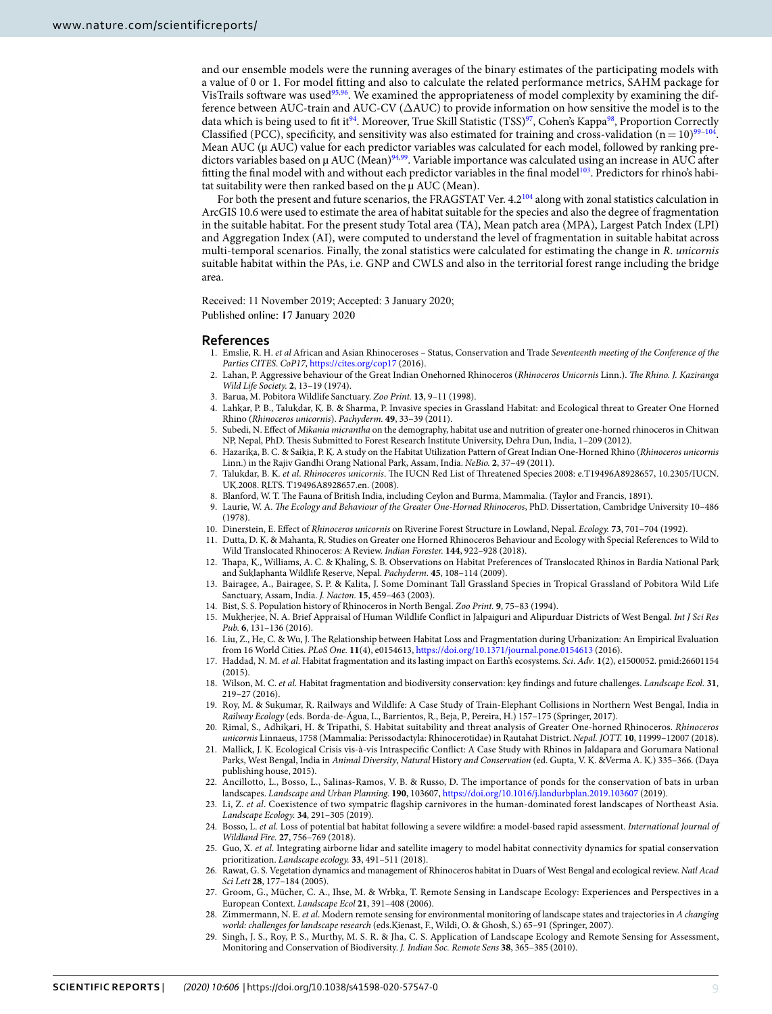and our ensemble models were the running averages of the binary estimates of the participating models with a value of 0 or 1. For model fitting and also to calculate the related performance metrics, SAHM package for VisTrails software was used<sup>[95](#page-10-18),[96](#page-10-19)</sup>. We examined the appropriateness of model complexity by examining the difference between AUC-train and AUC-CV (∆AUC) to provide information on how sensitive the model is to the data which is being used to fit it<sup>[94](#page-10-17)</sup>. Moreover, True Skill Statistic (TSS)<sup>[97](#page-10-20)</sup>, Cohen's Kappa<sup>[98](#page-10-21)</sup>, Proportion Correctly Classified (PCC), specificity, and sensitivity was also estimated for training and cross-validation ( $n = 10$ )<sup>[99–](#page-10-22)[104](#page-10-23)</sup>. Mean AUC ( $\mu$  AUC) value for each predictor variables was calculated for each model, followed by ranking pre-dictors variables based on µ AUC (Mean)<sup>[94,](#page-10-17)[99](#page-10-22)</sup>. Variable importance was calculated using an increase in AUC after fitting the final model with and without each predictor variables in the final model<sup>[103](#page-10-24)</sup>. Predictors for rhino's habitat suitability were then ranked based on the µ AUC (Mean).

For both the present and future scenarios, the FRAGSTAT Ver. 4.2<sup>[104](#page-10-23)</sup> along with zonal statistics calculation in ArcGIS 10.6 were used to estimate the area of habitat suitable for the species and also the degree of fragmentation in the suitable habitat. For the present study Total area (TA), Mean patch area (MPA), Largest Patch Index (LPI) and Aggregation Index (AI), were computed to understand the level of fragmentation in suitable habitat across multi-temporal scenarios. Finally, the zonal statistics were calculated for estimating the change in R. unicornis suitable habitat within the PAs, i.e. GNP and CWLS and also in the territorial forest range including the bridge area.

Received: 11 November 2019; Accepted: 3 January 2020; Published online: 17 January 2020

#### **References**

- <span id="page-8-0"></span> 1. Emslie, R. H. et al African and Asian Rhinoceroses – Status, Conservation and Trade Seventeenth meeting of the Conference of the Parties CITES. CoP17,<https://cites.org/cop17> (2016).
- <span id="page-8-1"></span> 2. Lahan, P. Aggressive behaviour of the Great Indian Onehorned Rhinoceros (Rhinoceros Unicornis Linn.). The Rhino. J. Kaziranga Wild Life Society. **2**, 13–19 (1974).
- 3. Barua, M. Pobitora Wildlife Sanctuary. Zoo Print. **13**, 9–11 (1998).
- 4. Lahkar, P. B., Talukdar, K. B. & Sharma, P. Invasive species in Grassland Habitat: and Ecological threat to Greater One Horned Rhino (Rhinoceros unicornis). Pachyderm. **49**, 33–39 (2011).
- <span id="page-8-10"></span> 5. Subedi, N. Effect of Mikania micrantha on the demography, habitat use and nutrition of greater one-horned rhinoceros in Chitwan NP, Nepal, PhD. Thesis Submitted to Forest Research Institute University, Dehra Dun, India, 1–209 (2012).
- <span id="page-8-2"></span> 6. Hazarika, B. C. & Saikia, P. K. A study on the Habitat Utilization Pattern of Great Indian One-Horned Rhino (Rhinoceros unicornis Linn.) in the Rajiv Gandhi Orang National Park, Assam, India. NeBio. **2**, 37–49 (2011).
- <span id="page-8-3"></span> 7. Talukdar, B. K. et al. Rhinoceros unicornis. The IUCN Red List of Threatened Species 2008: e.T19496A8928657, 10.2305/IUCN. UK.2008. RLTS. T19496A8928657.en. (2008).
- <span id="page-8-4"></span>8. Blanford, W. T. The Fauna of British India, including Ceylon and Burma, Mammalia. (Taylor and Francis, 1891).
- <span id="page-8-7"></span>9. Laurie, W. A. The Ecology and Behaviour of the Greater One-Horned Rhinoceros, PhD. Dissertation, Cambridge University 10-486 (1978).
- <span id="page-8-5"></span>10. Dinerstein, E. Effect of Rhinoceros unicornis on Riverine Forest Structure in Lowland, Nepal. Ecology. **73**, 701–704 (1992).
- <span id="page-8-6"></span> 11. Dutta, D. K. & Mahanta, R. Studies on Greater one Horned Rhinoceros Behaviour and Ecology with Special References to Wild to Wild Translocated Rhinoceros: A Review. Indian Forester. **144**, 922–928 (2018).
- <span id="page-8-8"></span> 12. Thapa, K., Williams, A. C. & Khaling, S. B. Observations on Habitat Preferences of Translocated Rhinos in Bardia National Park and Suklaphanta Wildlife Reserve, Nepal. Pachyderm. **45**, 108–114 (2009).
- <span id="page-8-9"></span> 13. Bairagee, A., Bairagee, S. P. & Kalita, J. Some Dominant Tall Grassland Species in Tropical Grassland of Pobitora Wild Life Sanctuary, Assam, India. J. Nacton. **15**, 459–463 (2003).
- <span id="page-8-11"></span>14. Bist, S. S. Population history of Rhinoceros in North Bengal. Zoo Print. **9**, 75–83 (1994).
- <span id="page-8-12"></span> 15. Mukherjee, N. A. Brief Appraisal of Human Wildlife Conflict in Jalpaiguri and Alipurduar Districts of West Bengal. Int J Sci Res Pub. **6**, 131–136 (2016).
- <span id="page-8-13"></span> 16. Liu, Z., He, C. & Wu, J. The Relationship between Habitat Loss and Fragmentation during Urbanization: An Empirical Evaluation from 16 World Cities. PLoS One. **11**(4), e0154613,<https://doi.org/10.1371/journal.pone.0154613>(2016).
- 17. Haddad, N. M. et al. Habitat fragmentation and its lasting impact on Earth's ecosystems. Sci. Adv. **1**(2), e1500052. pmid:26601154 (2015).
- <span id="page-8-14"></span> 18. Wilson, M. C. et al. Habitat fragmentation and biodiversity conservation: key findings and future challenges. Landscape Ecol. **31**, 219–27 (2016).
- <span id="page-8-15"></span> 19. Roy, M. & Sukumar, R. Railways and Wildlife: A Case Study of Train-Elephant Collisions in Northern West Bengal, India in Railway Ecology (eds. Borda-de-Água, L., Barrientos, R., Beja, P., Pereira, H.) 157–175 (Springer, 2017).
- <span id="page-8-16"></span>20. Rimal, S., Adhikari, H. & Tripathi, S. Habitat suitability and threat analysis of Greater One-horned Rhinoceros. Rhinoceros unicornis Linnaeus, 1758 (Mammalia: Perissodactyla: Rhinocerotidae) in Rautahat District. Nepal. JOTT. **10**, 11999–12007 (2018).
- <span id="page-8-17"></span> 21. Mallick, J. K. Ecological Crisis vis-à-vis Intraspecific Conflict: A Case Study with Rhinos in Jaldapara and Gorumara National Parks, West Bengal, India in Animal Diversity, Natural History and Conservation (ed. Gupta, V. K. &Verma A. K.) 335–366. (Daya publishing house, 2015).
- <span id="page-8-18"></span> 22. Ancillotto, L., Bosso, L., Salinas-Ramos, V. B. & Russo, D. The importance of ponds for the conservation of bats in urban landscapes. Landscape and Urban Planning. **190**, 103607, <https://doi.org/10.1016/j.landurbplan.2019.103607>(2019).
- <span id="page-8-19"></span>23. Li, Z. et al. Coexistence of two sympatric flagship carnivores in the human-dominated forest landscapes of Northeast Asia. Landscape Ecology. **34**, 291–305 (2019).
- <span id="page-8-20"></span>24. Bosso, L. et al. Loss of potential bat habitat following a severe wildfire: a model-based rapid assessment. International Journal of Wildland Fire. **27**, 756–769 (2018).
- <span id="page-8-21"></span>25. Guo, X. et al. Integrating airborne lidar and satellite imagery to model habitat connectivity dynamics for spatial conservation prioritization. Landscape ecology. **33**, 491–511 (2018).
- <span id="page-8-22"></span>26. Rawat, G. S. Vegetation dynamics and management of Rhinoceros habitat in Duars of West Bengal and ecological review. Natl Acad Sci Lett **28**, 177–184 (2005).
- <span id="page-8-23"></span> 27. Groom, G., Mücher, C. A., Ihse, M. & Wrbka, T. Remote Sensing in Landscape Ecology: Experiences and Perspectives in a European Context. Landscape Ecol **21**, 391–408 (2006).
- 28. Zimmermann, N. E. et al. Modern remote sensing for environmental monitoring of landscape states and trajectories in A changing world: challenges for landscape research (eds.Kienast, F., Wildi, O. & Ghosh, S.) 65–91 (Springer, 2007).
- <span id="page-8-24"></span> 29. Singh, J. S., Roy, P. S., Murthy, M. S. R. & Jha, C. S. Application of Landscape Ecology and Remote Sensing for Assessment, Monitoring and Conservation of Biodiversity. J. Indian Soc. Remote Sens **38**, 365–385 (2010).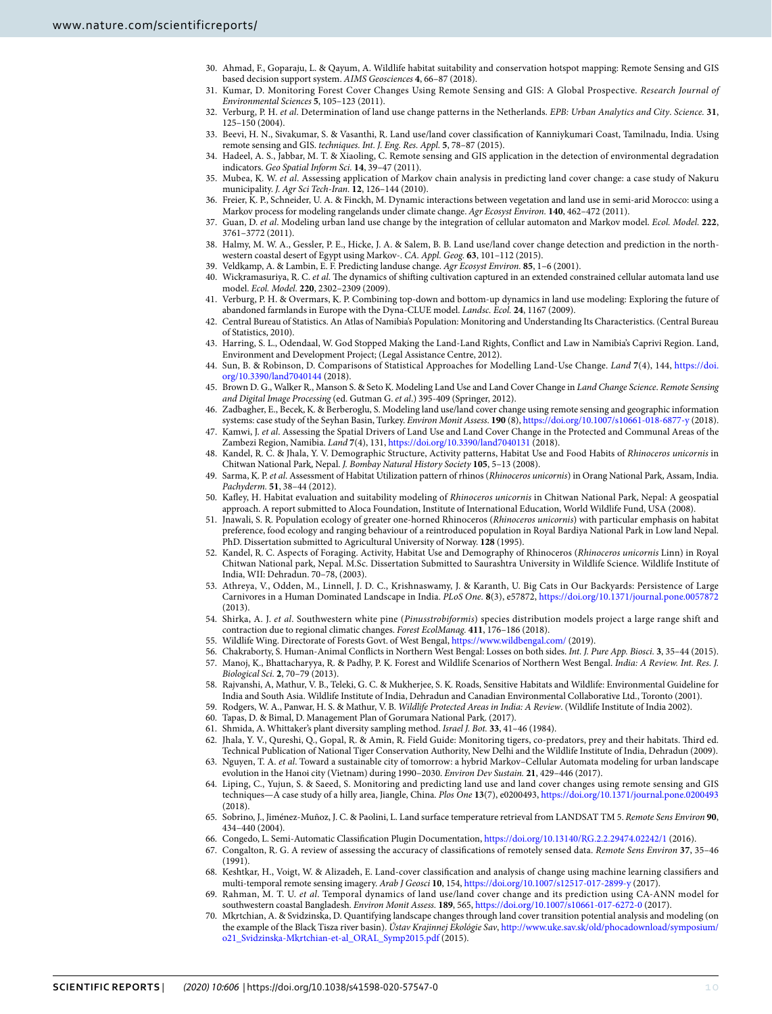- <span id="page-9-0"></span> 30. Ahmad, F., Goparaju, L. & Qayum, A. Wildlife habitat suitability and conservation hotspot mapping: Remote Sensing and GIS based decision support system. AIMS Geosciences **4**, 66–87 (2018).
- <span id="page-9-1"></span>31. Kumar, D. Monitoring Forest Cover Changes Using Remote Sensing and GIS: A Global Prospective. Research Journal of Environmental Sciences **5**, 105–123 (2011).
- <span id="page-9-2"></span> 32. Verburg, P. H. et al. Determination of land use change patterns in the Netherlands. EPB: Urban Analytics and City. Science. **31**, 125–150 (2004).
- 33. Beevi, H. N., Sivakumar, S. & Vasanthi, R. Land use/land cover classification of Kanniykumari Coast, Tamilnadu, India. Using remote sensing and GIS. techniques. Int. J. Eng. Res. Appl. **5**, 78–87 (2015).
- 34. Hadeel, A. S., Jabbar, M. T. & Xiaoling, C. Remote sensing and GIS application in the detection of environmental degradation indicators. Geo Spatial Inform Sci. **14**, 39–47 (2011).
- <span id="page-9-3"></span> 35. Mubea, K. W. et al. Assessing application of Markov chain analysis in predicting land cover change: a case study of Nakuru municipality. J. Agr Sci Tech-Iran. **12**, 126–144 (2010).
- <span id="page-9-4"></span> 36. Freier, K. P., Schneider, U. A. & Finckh, M. Dynamic interactions between vegetation and land use in semi-arid Morocco: using a Markov process for modeling rangelands under climate change. Agr Ecosyst Environ. **140**, 462–472 (2011).
- 37. Guan, D. et al. Modeling urban land use change by the integration of cellular automaton and Markov model. Ecol. Model. **222**, 3761–3772 (2011).
- 38. Halmy, M. W. A., Gessler, P. E., Hicke, J. A. & Salem, B. B. Land use/land cover change detection and prediction in the northwestern coastal desert of Egypt using Markov-. CA. Appl. Geog. **63**, 101–112 (2015).
- 39. Veldkamp, A. & Lambin, E. F. Predicting landuse change. Agr Ecosyst Environ. **85**, 1–6 (2001).
- <span id="page-9-5"></span>40. Wickramasuriya, R. C. et al. The dynamics of shifting cultivation captured in an extended constrained cellular automata land use model. Ecol. Model. **220**, 2302–2309 (2009).
- <span id="page-9-6"></span> 41. Verburg, P. H. & Overmars, K. P. Combining top-down and bottom-up dynamics in land use modeling: Exploring the future of abandoned farmlands in Europe with the Dyna-CLUE model. Landsc. Ecol. **24**, 1167 (2009).
- <span id="page-9-7"></span> 42. Central Bureau of Statistics. An Atlas of Namibia's Population: Monitoring and Understanding Its Characteristics. (Central Bureau of Statistics, 2010).
- <span id="page-9-8"></span> 43. Harring, S. L., Odendaal, W. God Stopped Making the Land-Land Rights, Conflict and Law in Namibia's Caprivi Region. Land, Environment and Development Project; (Legal Assistance Centre, 2012).
- <span id="page-9-9"></span> 44. Sun, B. & Robinson, D. Comparisons of Statistical Approaches for Modelling Land-Use Change. Land **7**(4), 144, [https://doi.](https://doi.org/10.3390/land7040144) [org/10.3390/land7040144](https://doi.org/10.3390/land7040144) (2018).
- <span id="page-9-10"></span>45. Brown D. G., Walker R., Manson S. & Seto K. Modeling Land Use and Land Cover Change in Land Change Science. Remote Sensing and Digital Image Processing (ed. Gutman G. et al.) 395-409 (Springer, 2012).
- <span id="page-9-11"></span> 46. Zadbagher, E., Becek, K. & Berberoglu, S. Modeling land use/land cover change using remote sensing and geographic information systems: case study of the Seyhan Basin, Turkey. Environ Monit Assess. **190** (8), <https://doi.org/10.1007/s10661-018-6877-y>(2018).
- <span id="page-9-12"></span>47. Kamwi, J. et al. Assessing the Spatial Drivers of Land Use and Land Cover Change in the Protected and Communal Areas of the Zambezi Region, Namibia. Land **7**(4), 131, <https://doi.org/10.3390/land7040131> (2018).
- <span id="page-9-13"></span>48. Kandel, R. C. & Jhala, Y. V. Demographic Structure, Activity patterns, Habitat Use and Food Habits of Rhinoceros unicornis in Chitwan National Park, Nepal. J. Bombay Natural History Society **105**, 5–13 (2008).
- <span id="page-9-14"></span>49. Sarma, K. P. et al. Assessment of Habitat Utilization pattern of rhinos (Rhinoceros unicornis) in Orang National Park, Assam, India. Pachyderm. **51**, 38–44 (2012).
- <span id="page-9-15"></span> 50. Kafley, H. Habitat evaluation and suitability modeling of Rhinoceros unicornis in Chitwan National Park, Nepal: A geospatial approach. A report submitted to Aloca Foundation, Institute of International Education, World Wildlife Fund, USA (2008).
- 51. Jnawali, S. R. Population ecology of greater one-horned Rhinoceros (Rhinoceros unicornis) with particular emphasis on habitat preference, food ecology and ranging behaviour of a reintroduced population in Royal Bardiya National Park in Low land Nepal. PhD. Dissertation submitted to Agricultural University of Norway. **128** (1995).
- <span id="page-9-16"></span> 52. Kandel, R. C. Aspects of Foraging. Activity, Habitat Use and Demography of Rhinoceros (Rhinoceros unicornis Linn) in Royal Chitwan National park, Nepal. M.Sc. Dissertation Submitted to Saurashtra University in Wildlife Science. Wildlife Institute of India, WII: Dehradun. 70–78, (2003).
- <span id="page-9-17"></span> 53. Athreya, V., Odden, M., Linnell, J. D. C., Krishnaswamy, J. & Karanth, U. Big Cats in Our Backyards: Persistence of Large Carnivores in a Human Dominated Landscape in India. PLoS One. **8**(3), e57872, <https://doi.org/10.1371/journal.pone.0057872> (2013).
- <span id="page-9-18"></span>54. Shirka, A. J. et al. Southwestern white pine (Pinusstrobiformis) species distribution models project a large range shift and contraction due to regional climatic changes. Forest EcolManag. **411**, 176–186 (2018).
- <span id="page-9-19"></span>55. Wildlife Wing. Directorate of Forests Govt. of West Bengal, <https://www.wildbengal.com/>(2019).
- <span id="page-9-20"></span>56. Chakraborty, S. Human-Animal Conflicts in Northern West Bengal: Losses on both sides. Int. J. Pure App. Biosci. **3**, 35–44 (2015).
- <span id="page-9-21"></span> 57. Manoj, K., Bhattacharyya, R. & Padhy, P. K. Forest and Wildlife Scenarios of Northern West Bengal. India: A Review. Int. Res. J. Biological Sci. **2**, 70–79 (2013).
- <span id="page-9-22"></span> 58. Rajvanshi, A, Mathur, V. B., Teleki, G. C. & Mukherjee, S. K. Roads, Sensitive Habitats and Wildlife: Environmental Guideline for India and South Asia. Wildlife Institute of India, Dehradun and Canadian Environmental Collaborative Ltd., Toronto (2001).
- <span id="page-9-23"></span>59. Rodgers, W. A., Panwar, H. S. & Mathur, V. B. Wildlife Protected Areas in India: A Review. (Wildlife Institute of India 2002).
- <span id="page-9-24"></span>60. Tapas, D. & Bimal, D. Management Plan of Gorumara National Park. (2017).
- <span id="page-9-25"></span>61. Shmida, A. Whittaker's plant diversity sampling method. Israel J. Bot. **33**, 41–46 (1984).
- <span id="page-9-26"></span> 62. Jhala, Y. V., Qureshi, Q., Gopal, R. & Amin, R. Field Guide: Monitoring tigers, co-predators, prey and their habitats. Third ed. Technical Publication of National Tiger Conservation Authority, New Delhi and the Wildlife Institute of India, Dehradun (2009).
- <span id="page-9-27"></span>Nguyen, T. A. et al. Toward a sustainable city of tomorrow: a hybrid Markov-Cellular Automata modeling for urban landscape evolution in the Hanoi city (Vietnam) during 1990–2030. Environ Dev Sustain. **21**, 429–446 (2017).
- <span id="page-9-28"></span> 64. Liping, C., Yujun, S. & Saeed, S. Monitoring and predicting land use and land cover changes using remote sensing and GIS techniques—A case study of a hilly area, Jiangle, China. Plos One **13**(7), e0200493, <https://doi.org/10.1371/journal.pone.0200493> (2018).
- <span id="page-9-29"></span> 65. Sobrino, J., Jiménez-Muñoz, J. C. & Paolini, L. Land surface temperature retrieval from LANDSAT TM 5. Remote Sens Environ **90**, 434–440 (2004).
- <span id="page-9-30"></span>66. Congedo, L. Semi-Automatic Classification Plugin Documentation, <https://doi.org/10.13140/RG.2.2.29474.02242/1>(2016).
- <span id="page-9-31"></span> 67. Congalton, R. G. A review of assessing the accuracy of classifications of remotely sensed data. Remote Sens Environ **37**, 35–46 (1991).
- <span id="page-9-32"></span> 68. Keshtkar, H., Voigt, W. & Alizadeh, E. Land-cover classification and analysis of change using machine learning classifiers and multi-temporal remote sensing imagery. Arab J Geosci **10**, 154,<https://doi.org/10.1007/s12517-017-2899-y>(2017).
- <span id="page-9-33"></span>69. Rahman, M. T. U. et al. Temporal dynamics of land use/land cover change and its prediction using CA-ANN model for southwestern coastal Bangladesh. Environ Monit Assess. **189**, 565, <https://doi.org/10.1007/s10661-017-6272-0>(2017).
- <span id="page-9-34"></span> 70. Mkrtchian, A. & Svidzinska, D. Quantifying landscape changes through land cover transition potential analysis and modeling (on the example of the Black Tisza river basin). Ústav Krajinnej Ekológie Sav, [http://www.uke.sav.sk/old/phocadownload/symposium/](http://www.uke.sav.sk/old/phocadownload/symposium/o21_Svidzinska-Mkrtchian-et-al_ORAL_Symp2015.pdf) [o21\\_Svidzinska-Mkrtchian-et-al\\_ORAL\\_Symp2015.pdf](http://www.uke.sav.sk/old/phocadownload/symposium/o21_Svidzinska-Mkrtchian-et-al_ORAL_Symp2015.pdf) (2015).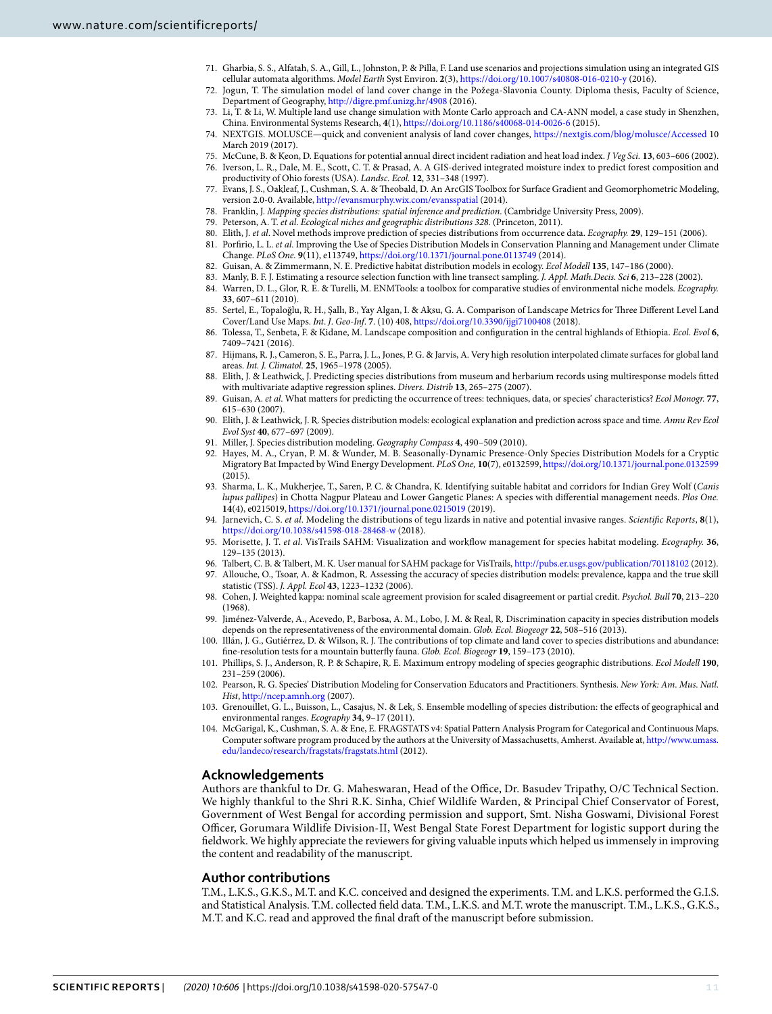- <span id="page-10-0"></span> 71. Gharbia, S. S., Alfatah, S. A., Gill, L., Johnston, P. & Pilla, F. Land use scenarios and projections simulation using an integrated GIS cellular automata algorithms. Model Earth Syst Environ. **2**(3),<https://doi.org/10.1007/s40808-016-0210-y>(2016).
- 72. Jogun, T. The simulation model of land cover change in the Požega-Slavonia County. Diploma thesis, Faculty of Science, Department of Geography,<http://digre.pmf.unizg.hr/4908> (2016).
- 73. Li, T. & Li, W. Multiple land use change simulation with Monte Carlo approach and CA-ANN model, a case study in Shenzhen, China. Environmental Systems Research, **4**(1),<https://doi.org/10.1186/s40068-014-0026-6> (2015).
- <span id="page-10-1"></span> 74. NEXTGIS. MOLUSCE—quick and convenient analysis of land cover changes, <https://nextgis.com/blog/molusce/Accessed>10 March 2019 (2017).
- <span id="page-10-2"></span>75. McCune, B. & Keon, D. Equations for potential annual direct incident radiation and heat load index. J Veg Sci. **13**, 603–606 (2002).
- <span id="page-10-3"></span> 76. Iverson, L. R., Dale, M. E., Scott, C. T. & Prasad, A. A GIS-derived integrated moisture index to predict forest composition and productivity of Ohio forests (USA). Landsc. Ecol. **12**, 331–348 (1997).
- <span id="page-10-4"></span> 77. Evans, J. S., Oakleaf, J., Cushman, S. A. & Theobald, D. An ArcGIS Toolbox for Surface Gradient and Geomorphometric Modeling, version 2.0-0. Available,<http://evansmurphy.wix.com/evansspatial>(2014).
- <span id="page-10-5"></span>78. Franklin, J. Mapping species distributions: spatial inference and prediction. (Cambridge University Press, 2009).
- 79. Peterson, A. T. et al. Ecological niches and geographic distributions 328. (Princeton, 2011).
- <span id="page-10-7"></span><span id="page-10-6"></span> 80. Elith, J. et al. Novel methods improve prediction of species distributions from occurrence data. Ecography. **29**, 129–151 (2006). 81. Porfirio, L. L. et al. Improving the Use of Species Distribution Models in Conservation Planning and Management under Climate
- Change. PLoS One. **9**(11), e113749,<https://doi.org/10.1371/journal.pone.0113749>(2014). 82. Guisan, A. & Zimmermann, N. E. Predictive habitat distribution models in ecology. Ecol Modell **135**, 147–186 (2000).
- <span id="page-10-8"></span>83. Manly, B. F. J. Estimating a resource selection function with line transect sampling. J. Appl. Math.Decis. Sci **6**, 213–228 (2002).
- <span id="page-10-9"></span> 84. Warren, D. L., Glor, R. E. & Turelli, M. ENMTools: a toolbox for comparative studies of environmental niche models. Ecography. **33**, 607–611 (2010).
- <span id="page-10-10"></span> 85. Sertel, E., Topaloğlu, R. H., Şallı, B., Yay Algan, I. & Aksu, G. A. Comparison of Landscape Metrics for Three Different Level Land Cover/Land Use Maps. Int. J. Geo-Inf. **7**. (10) 408,<https://doi.org/10.3390/ijgi7100408> (2018).
- <span id="page-10-11"></span> 86. Tolessa, T., Senbeta, F. & Kidane, M. Landscape composition and configuration in the central highlands of Ethiopia. Ecol. Evol **6**, 7409–7421 (2016).
- <span id="page-10-12"></span> 87. Hijmans, R. J., Cameron, S. E., Parra, J. L., Jones, P. G. & Jarvis, A. Very high resolution interpolated climate surfaces for global land areas. Int. J. Climatol. **25**, 1965–1978 (2005).
- <span id="page-10-13"></span> 88. Elith, J. & Leathwick, J. Predicting species distributions from museum and herbarium records using multiresponse models fitted with multivariate adaptive regression splines. Divers. Distrib **13**, 265–275 (2007).
- 89. Guisan, A. et al. What matters for predicting the occurrence of trees: techniques, data, or species' characteristics? Ecol Monogr. **77**, 615–630 (2007).
- 90. Elith, J. & Leathwick, J. R. Species distribution models: ecological explanation and prediction across space and time. Annu Rev Ecol Evol Syst **40**, 677–697 (2009).
- <span id="page-10-14"></span>91. Miller, J. Species distribution modeling. Geography Compass **4**, 490–509 (2010).
- <span id="page-10-15"></span> 92. Hayes, M. A., Cryan, P. M. & Wunder, M. B. Seasonally-Dynamic Presence-Only Species Distribution Models for a Cryptic Migratory Bat Impacted by Wind Energy Development. PLoS One, **10**(7), e0132599,<https://doi.org/10.1371/journal.pone.0132599> (2015).
- <span id="page-10-16"></span>93. Sharma, L. K., Mukherjee, T., Saren, P. C. & Chandra, K. Identifying suitable habitat and corridors for Indian Grey Wolf (Canis lupus pallipes) in Chotta Nagpur Plateau and Lower Gangetic Planes: A species with differential management needs. Plos One. **14**(4), e0215019, <https://doi.org/10.1371/journal.pone.0215019> (2019).
- <span id="page-10-17"></span> 94. Jarnevich, C. S. et al. Modeling the distributions of tegu lizards in native and potential invasive ranges. Scientific Reports, **8**(1), <https://doi.org/10.1038/s41598-018-28468-w>(2018).
- <span id="page-10-18"></span> 95. Morisette, J. T. et al. VisTrails SAHM: Visualization and workflow management for species habitat modeling. Ecography. **36**, 129–135 (2013).
- <span id="page-10-19"></span>96. Talbert, C. B. & Talbert, M. K. User manual for SAHM package for VisTrails,<http://pubs.er.usgs.gov/publication/70118102>(2012).
- <span id="page-10-20"></span> 97. Allouche, O., Tsoar, A. & Kadmon, R. Assessing the accuracy of species distribution models: prevalence, kappa and the true skill statistic (TSS). J. Appl. Ecol **43**, 1223–1232 (2006).
- <span id="page-10-21"></span> 98. Cohen, J. Weighted kappa: nominal scale agreement provision for scaled disagreement or partial credit. Psychol. Bull **70**, 213–220 (1968).
- <span id="page-10-22"></span> 99. Jiménez-Valverde, A., Acevedo, P., Barbosa, A. M., Lobo, J. M. & Real, R. Discrimination capacity in species distribution models depends on the representativeness of the environmental domain. Glob. Ecol. Biogeogr **22**, 508–516 (2013).
- 100. Illán, J. G., Gutiérrez, D. & Wilson, R. J. The contributions of top climate and land cover to species distributions and abundance: fine-resolution tests for a mountain butterfly fauna. Glob. Ecol. Biogeogr **19**, 159–173 (2010).
- 101. Phillips, S. J., Anderson, R. P. & Schapire, R. E. Maximum entropy modeling of species geographic distributions. Ecol Modell **190**, 231–259 (2006).
- 102. Pearson, R. G. Species' Distribution Modeling for Conservation Educators and Practitioners. Synthesis. New York: Am. Mus. Natl. Hist,<http://ncep.amnh.org>(2007).
- <span id="page-10-24"></span> 103. Grenouillet, G. L., Buisson, L., Casajus, N. & Lek, S. Ensemble modelling of species distribution: the effects of geographical and environmental ranges. Ecography **34**, 9–17 (2011).
- <span id="page-10-23"></span> 104. McGarigal, K., Cushman, S. A. & Ene, E. FRAGSTATS v4: Spatial Pattern Analysis Program for Categorical and Continuous Maps. Computer software program produced by the authors at the University of Massachusetts, Amherst. Available at, [http://www.umass.](http://www.umass.edu/landeco/research/fragstats/fragstats.html) [edu/landeco/research/fragstats/fragstats.html](http://www.umass.edu/landeco/research/fragstats/fragstats.html) (2012).

# **Acknowledgements**

Authors are thankful to Dr. G. Maheswaran, Head of the Office, Dr. Basudev Tripathy, O/C Technical Section. We highly thankful to the Shri R.K. Sinha, Chief Wildlife Warden, & Principal Chief Conservator of Forest, Government of West Bengal for according permission and support, Smt. Nisha Goswami, Divisional Forest Officer, Gorumara Wildlife Division-II, West Bengal State Forest Department for logistic support during the fieldwork. We highly appreciate the reviewers for giving valuable inputs which helped us immensely in improving the content and readability of the manuscript.

# **Author contributions**

T.M., L.K.S., G.K.S., M.T. and K.C. conceived and designed the experiments. T.M. and L.K.S. performed the G.I.S. and Statistical Analysis. T.M. collected field data. T.M., L.K.S. and M.T. wrote the manuscript. T.M., L.K.S., G.K.S., M.T. and K.C. read and approved the final draft of the manuscript before submission.